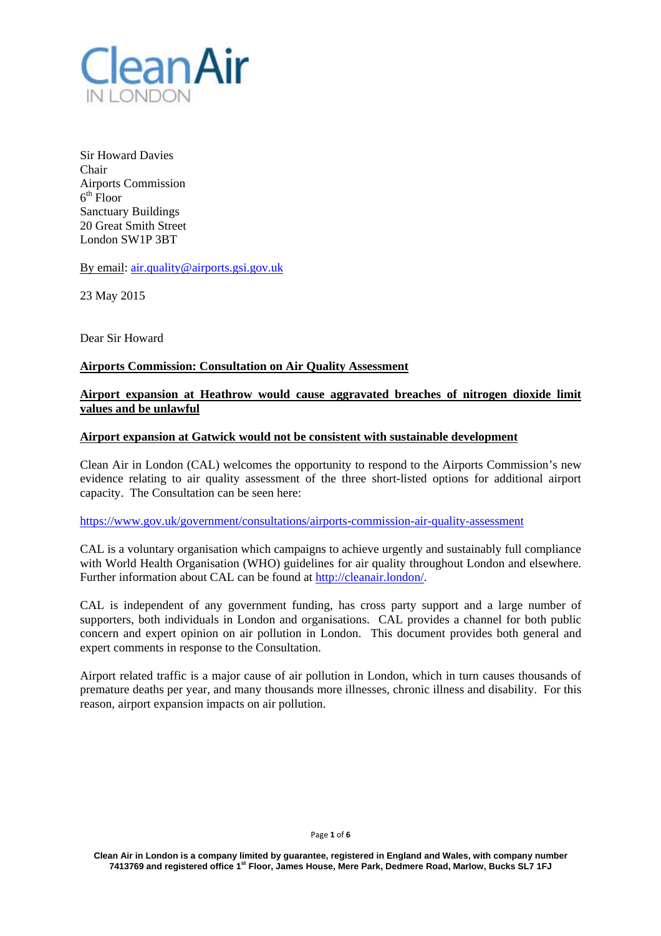

Sir Howard Davies Chair Airports Commission  $6<sup>th</sup>$  Floor Sanctuary Buildings 20 Great Smith Street London SW1P 3BT

By email: air.quality@airports.gsi.gov.uk

23 May 2015

Dear Sir Howard

## **Airports Commission: Consultation on Air Quality Assessment**

# **Airport expansion at Heathrow would cause aggravated breaches of nitrogen dioxide limit values and be unlawful**

### **Airport expansion at Gatwick would not be consistent with sustainable development**

Clean Air in London (CAL) welcomes the opportunity to respond to the Airports Commission's new evidence relating to air quality assessment of the three short-listed options for additional airport capacity. The Consultation can be seen here:

https://www.gov.uk/government/consultations/airports-commission-air-quality-assessment

CAL is a voluntary organisation which campaigns to achieve urgently and sustainably full compliance with World Health Organisation (WHO) guidelines for air quality throughout London and elsewhere. Further information about CAL can be found at http://cleanair.london/.

CAL is independent of any government funding, has cross party support and a large number of supporters, both individuals in London and organisations. CAL provides a channel for both public concern and expert opinion on air pollution in London. This document provides both general and expert comments in response to the Consultation.

Airport related traffic is a major cause of air pollution in London, which in turn causes thousands of premature deaths per year, and many thousands more illnesses, chronic illness and disability. For this reason, airport expansion impacts on air pollution.

#### Page **1** of **6**

**Clean Air in London is a company limited by guarantee, registered in England and Wales, with company number 7413769 and registered office 1st Floor, James House, Mere Park, Dedmere Road, Marlow, Bucks SL7 1FJ**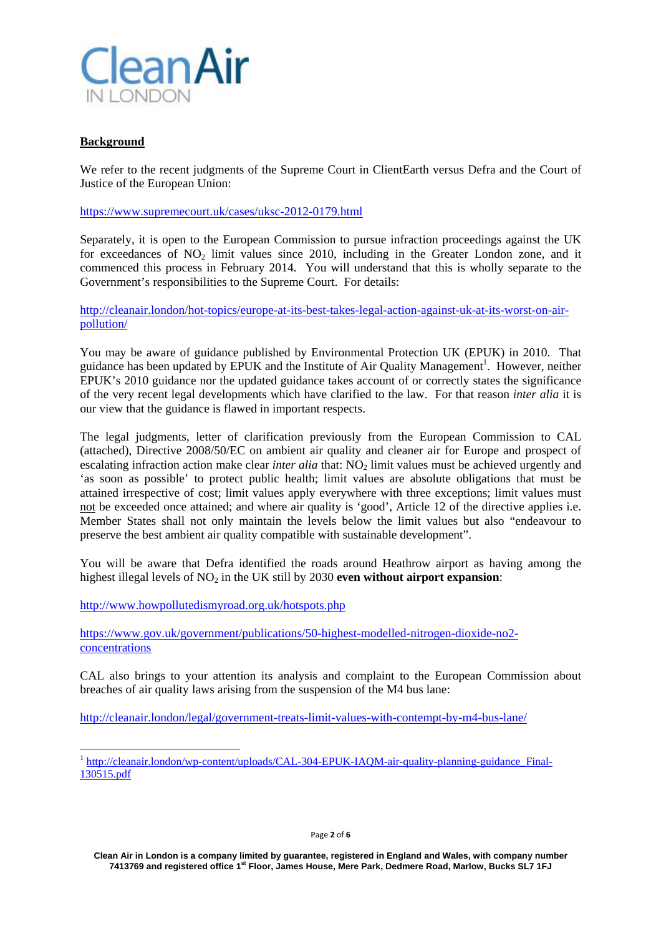

## **Background**

We refer to the recent judgments of the Supreme Court in ClientEarth versus Defra and the Court of Justice of the European Union:

https://www.supremecourt.uk/cases/uksc-2012-0179.html

Separately, it is open to the European Commission to pursue infraction proceedings against the UK for exceedances of  $NO<sub>2</sub>$  limit values since 2010, including in the Greater London zone, and it commenced this process in February 2014. You will understand that this is wholly separate to the Government's responsibilities to the Supreme Court. For details:

http://cleanair.london/hot-topics/europe-at-its-best-takes-legal-action-against-uk-at-its-worst-on-airpollution/

You may be aware of guidance published by Environmental Protection UK (EPUK) in 2010. That guidance has been updated by EPUK and the Institute of Air Quality Management<sup>1</sup>. However, neither EPUK's 2010 guidance nor the updated guidance takes account of or correctly states the significance of the very recent legal developments which have clarified to the law. For that reason *inter alia* it is our view that the guidance is flawed in important respects.

The legal judgments, letter of clarification previously from the European Commission to CAL (attached), Directive 2008/50/EC on ambient air quality and cleaner air for Europe and prospect of escalating infraction action make clear *inter alia* that: NO<sub>2</sub> limit values must be achieved urgently and 'as soon as possible' to protect public health; limit values are absolute obligations that must be attained irrespective of cost; limit values apply everywhere with three exceptions; limit values must not be exceeded once attained; and where air quality is 'good', Article 12 of the directive applies i.e. Member States shall not only maintain the levels below the limit values but also "endeavour to preserve the best ambient air quality compatible with sustainable development".

You will be aware that Defra identified the roads around Heathrow airport as having among the highest illegal levels of NO<sub>2</sub> in the UK still by 2030 **even without airport expansion**:

http://www.howpollutedismyroad.org.uk/hotspots.php

https://www.gov.uk/government/publications/50-highest-modelled-nitrogen-dioxide-no2 concentrations

CAL also brings to your attention its analysis and complaint to the European Commission about breaches of air quality laws arising from the suspension of the M4 bus lane:

http://cleanair.london/legal/government-treats-limit-values-with-contempt-by-m4-bus-lane/

<sup>&</sup>lt;sup>1</sup> http://cleanair.london/wp-content/uploads/CAL-304-EPUK-IAQM-air-quality-planning-guidance Final-130515.pdf

**Clean Air in London is a company limited by guarantee, registered in England and Wales, with company number 7413769 and registered office 1st Floor, James House, Mere Park, Dedmere Road, Marlow, Bucks SL7 1FJ**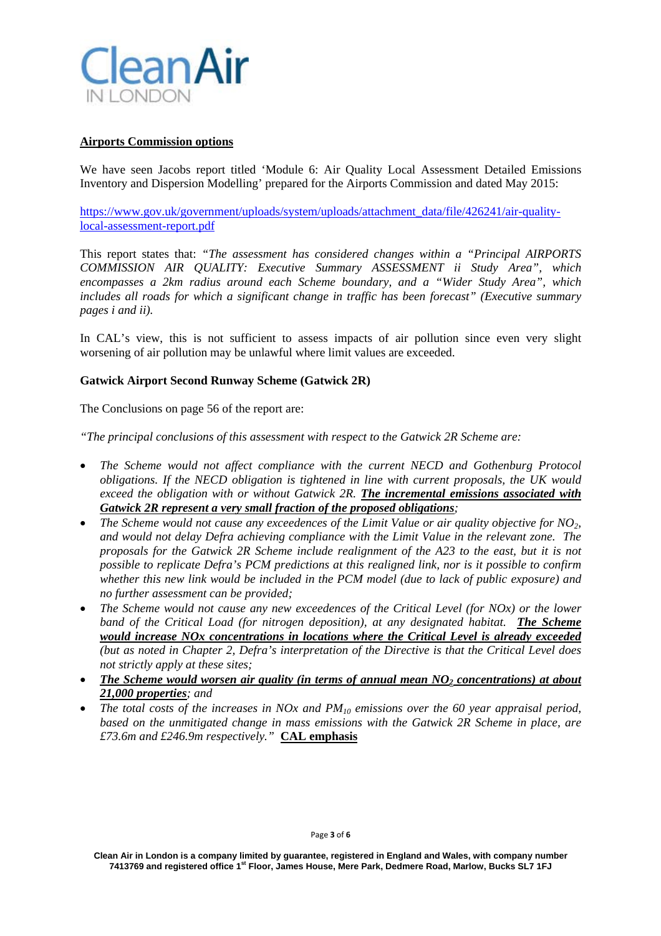

### **Airports Commission options**

We have seen Jacobs report titled 'Module 6: Air Quality Local Assessment Detailed Emissions Inventory and Dispersion Modelling' prepared for the Airports Commission and dated May 2015:

https://www.gov.uk/government/uploads/system/uploads/attachment\_data/file/426241/air-qualitylocal-assessment-report.pdf

This report states that: *"The assessment has considered changes within a "Principal AIRPORTS COMMISSION AIR QUALITY: Executive Summary ASSESSMENT ii Study Area", which encompasses a 2km radius around each Scheme boundary, and a "Wider Study Area", which includes all roads for which a significant change in traffic has been forecast" (Executive summary pages i and ii).*

In CAL's view, this is not sufficient to assess impacts of air pollution since even very slight worsening of air pollution may be unlawful where limit values are exceeded.

### **Gatwick Airport Second Runway Scheme (Gatwick 2R)**

The Conclusions on page 56 of the report are:

*"The principal conclusions of this assessment with respect to the Gatwick 2R Scheme are:* 

- *The Scheme would not affect compliance with the current NECD and Gothenburg Protocol obligations. If the NECD obligation is tightened in line with current proposals, the UK would exceed the obligation with or without Gatwick 2R. The incremental emissions associated with Gatwick 2R represent a very small fraction of the proposed obligations;*
- *The Scheme would not cause any exceedences of the Limit Value or air quality objective for NO2, and would not delay Defra achieving compliance with the Limit Value in the relevant zone. The proposals for the Gatwick 2R Scheme include realignment of the A23 to the east, but it is not possible to replicate Defra's PCM predictions at this realigned link, nor is it possible to confirm whether this new link would be included in the PCM model (due to lack of public exposure) and no further assessment can be provided;*
- *The Scheme would not cause any new exceedences of the Critical Level (for NOx) or the lower band of the Critical Load (for nitrogen deposition), at any designated habitat. The Scheme would increase NOx concentrations in locations where the Critical Level is already exceeded (but as noted in Chapter 2, Defra's interpretation of the Directive is that the Critical Level does not strictly apply at these sites;*
- *The Scheme would worsen air quality (in terms of annual mean NO<sub>2</sub> concentrations) at about 21,000 properties; and*
- *The total costs of the increases in NOx and PM10 emissions over the 60 year appraisal period, based on the unmitigated change in mass emissions with the Gatwick 2R Scheme in place, are £73.6m and £246.9m respectively."* **CAL emphasis**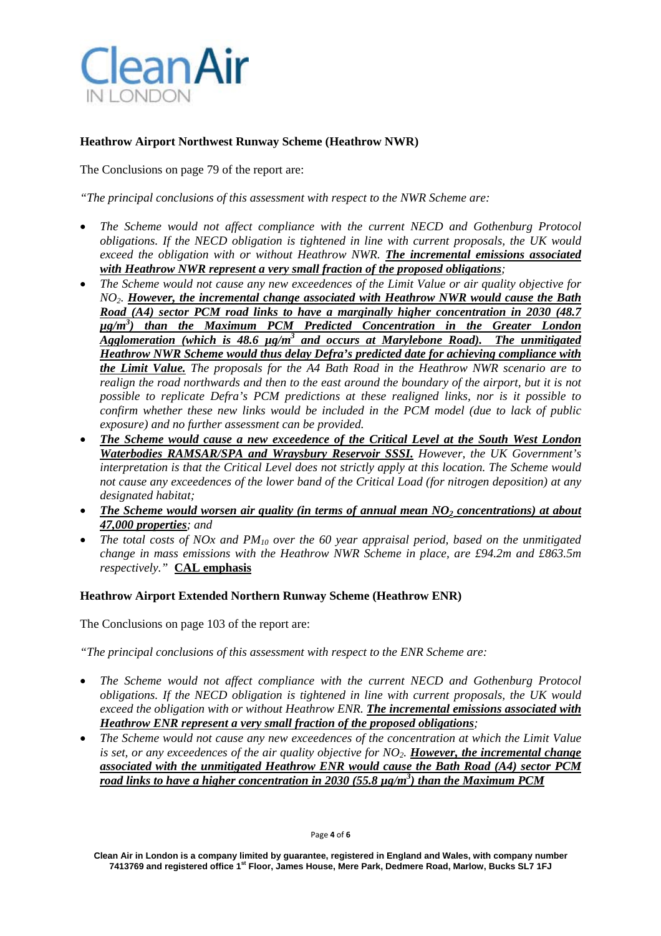

## **Heathrow Airport Northwest Runway Scheme (Heathrow NWR)**

The Conclusions on page 79 of the report are:

*"The principal conclusions of this assessment with respect to the NWR Scheme are:* 

- *The Scheme would not affect compliance with the current NECD and Gothenburg Protocol obligations. If the NECD obligation is tightened in line with current proposals, the UK would exceed the obligation with or without Heathrow NWR. The incremental emissions associated with Heathrow NWR represent a very small fraction of the proposed obligations;*
- *The Scheme would not cause any new exceedences of the Limit Value or air quality objective for NO2. However, the incremental change associated with Heathrow NWR would cause the Bath Road (A4) sector PCM road links to have a marginally higher concentration in 2030 (48.7 µg/m3 ) than the Maximum PCM Predicted Concentration in the Greater London*  Agglomeration (which is 48.6  $\mu$ g/m<sup>3</sup> and occurs at Marylebone Road). The unmitigated *Heathrow NWR Scheme would thus delay Defra's predicted date for achieving compliance with the Limit Value. The proposals for the A4 Bath Road in the Heathrow NWR scenario are to realign the road northwards and then to the east around the boundary of the airport, but it is not possible to replicate Defra's PCM predictions at these realigned links, nor is it possible to confirm whether these new links would be included in the PCM model (due to lack of public exposure) and no further assessment can be provided.*
- *The Scheme would cause a new exceedence of the Critical Level at the South West London Waterbodies RAMSAR/SPA and Wraysbury Reservoir SSSI. However, the UK Government's interpretation is that the Critical Level does not strictly apply at this location. The Scheme would not cause any exceedences of the lower band of the Critical Load (for nitrogen deposition) at any designated habitat;*
- *The Scheme would worsen air quality (in terms of annual mean NO<sub>2</sub> concentrations) at about 47,000 properties; and*
- *The total costs of NOx and PM10 over the 60 year appraisal period, based on the unmitigated change in mass emissions with the Heathrow NWR Scheme in place, are £94.2m and £863.5m respectively."* **CAL emphasis**

### **Heathrow Airport Extended Northern Runway Scheme (Heathrow ENR)**

The Conclusions on page 103 of the report are:

*"The principal conclusions of this assessment with respect to the ENR Scheme are:* 

- *The Scheme would not affect compliance with the current NECD and Gothenburg Protocol obligations. If the NECD obligation is tightened in line with current proposals, the UK would exceed the obligation with or without Heathrow ENR. The incremental emissions associated with Heathrow ENR represent a very small fraction of the proposed obligations;*
- *The Scheme would not cause any new exceedences of the concentration at which the Limit Value is set, or any exceedences of the air quality objective for NO2. However, the incremental change associated with the unmitigated Heathrow ENR would cause the Bath Road (A4) sector PCM road links to have a higher concentration in 2030 (55.8*  $\mu$ *g/m<sup>3</sup>) than the Maximum PCM*

**Clean Air in London is a company limited by guarantee, registered in England and Wales, with company number 7413769 and registered office 1st Floor, James House, Mere Park, Dedmere Road, Marlow, Bucks SL7 1FJ**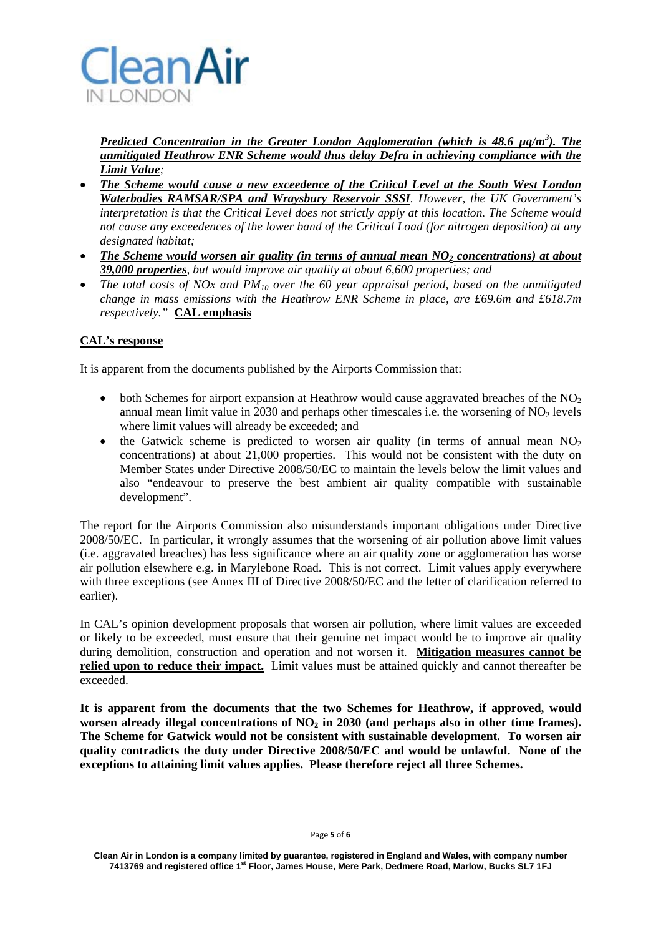

*Predicted Concentration in the Greater London Agglomeration (which is 48.6 µg/m3 ). The unmitigated Heathrow ENR Scheme would thus delay Defra in achieving compliance with the Limit Value;* 

- *The Scheme would cause a new exceedence of the Critical Level at the South West London Waterbodies RAMSAR/SPA and Wraysbury Reservoir SSSI. However, the UK Government's interpretation is that the Critical Level does not strictly apply at this location. The Scheme would not cause any exceedences of the lower band of the Critical Load (for nitrogen deposition) at any designated habitat;*
- *The Scheme would worsen air quality (in terms of annual mean NO<sub>2</sub> concentrations) at about 39,000 properties, but would improve air quality at about 6,600 properties; and*
- The total costs of NOx and PM<sub>10</sub> over the 60 year appraisal period, based on the unmitigated *change in mass emissions with the Heathrow ENR Scheme in place, are £69.6m and £618.7m respectively."* **CAL emphasis**

## **CAL's response**

It is apparent from the documents published by the Airports Commission that:

- both Schemes for airport expansion at Heathrow would cause aggravated breaches of the  $NO<sub>2</sub>$ annual mean limit value in 2030 and perhaps other timescales i.e. the worsening of  $NO<sub>2</sub>$  levels where limit values will already be exceeded; and
- the Gatwick scheme is predicted to worsen air quality (in terms of annual mean  $NO<sub>2</sub>$ concentrations) at about 21,000 properties. This would not be consistent with the duty on Member States under Directive 2008/50/EC to maintain the levels below the limit values and also "endeavour to preserve the best ambient air quality compatible with sustainable development".

The report for the Airports Commission also misunderstands important obligations under Directive 2008/50/EC. In particular, it wrongly assumes that the worsening of air pollution above limit values (i.e. aggravated breaches) has less significance where an air quality zone or agglomeration has worse air pollution elsewhere e.g. in Marylebone Road. This is not correct. Limit values apply everywhere with three exceptions (see Annex III of Directive 2008/50/EC and the letter of clarification referred to earlier).

In CAL's opinion development proposals that worsen air pollution, where limit values are exceeded or likely to be exceeded, must ensure that their genuine net impact would be to improve air quality during demolition, construction and operation and not worsen it. **Mitigation measures cannot be relied upon to reduce their impact.** Limit values must be attained quickly and cannot thereafter be exceeded.

**It is apparent from the documents that the two Schemes for Heathrow, if approved, would**  worsen already illegal concentrations of NO<sub>2</sub> in 2030 (and perhaps also in other time frames). **The Scheme for Gatwick would not be consistent with sustainable development. To worsen air quality contradicts the duty under Directive 2008/50/EC and would be unlawful. None of the exceptions to attaining limit values applies. Please therefore reject all three Schemes.**